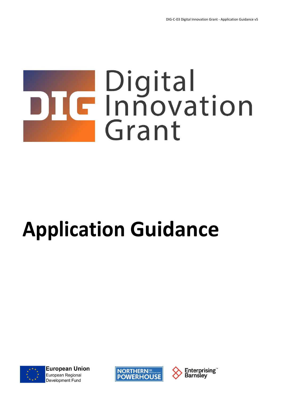# DIC Innovation Grant

# **Application Guidance**



**European Union** European Regional **Development Fund** 



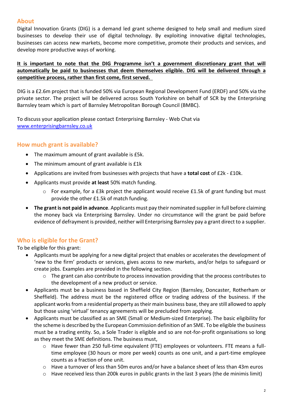#### **About**

Digital Innovation Grants (DIG) is a demand led grant scheme designed to help small and medium sized businesses to develop their use of digital technology. By exploiting innovative digital technologies, businesses can access new markets, become more competitive, promote their products and services, and develop more productive ways of working.

#### **It is important to note that the DIG Programme isn't a government discretionary grant that will automatically be paid to businesses that deem themselves eligible. DIG will be delivered through a competitive process, rather than first come, first served.**

DIG is a £2.6m project that is funded 50% via European Regional Development Fund (ERDF) and 50% via the private sector. The project will be delivered across South Yorkshire on behalf of SCR by the Enterprising Barnsley team which is part of Barnsley Metropolitan Borough Council (BMBC).

To discuss your application please contact Enterprising Barnsley - Web Chat via [www.enterprisingbarnsley.co.uk](http://www.enterprisingbarnsley.co.uk/)

#### **How much grant is available?**

- The maximum amount of grant available is £5k.
- The minimum amount of grant available is £1k
- Applications are invited from businesses with projects that have a **total cost** of £2k £10k.
- Applicants must provide **at least** 50% match funding.
	- $\circ$  For example, for a £3k project the applicant would receive £1.5k of grant funding but must provide the other £1.5k of match funding.
- **The grant is not paid in advance**. Applicants must pay their nominated supplier in full before claiming the money back via Enterprising Barnsley. Under no circumstance will the grant be paid before evidence of defrayment is provided, neither will Enterprising Barnsley pay a grant direct to a supplier.

# **Who is eligible for the Grant?**

To be eligible for this grant:

- Applicants must be applying for a new digital project that enables or accelerates the development of 'new to the firm' products or services, gives access to new markets, and/or helps to safeguard or create jobs. Examples are provided in the following section.
	- o The grant can also contribute to process innovation providing that the process contributes to the development of a new product or service.
- Applicants must be a business based in Sheffield City Region (Barnsley, Doncaster, Rotherham or Sheffield). The address must be the registered office or trading address of the business. If the applicant works from a residential property as their main business base, they are still allowed to apply but those using 'virtual' tenancy agreements will be precluded from applying.
- Applicants must be classified as an SME (Small or Medium-sized Enterprise). The basic eligibility for the scheme is described by the European Commission definition of an SME. To be eligible the business must be a trading entity. So, a Sole Trader is eligible and so are not-for-profit organisations so long as they meet the SME definitions. The business must,
	- o Have fewer than 250 full-time equivalent (FTE) employees or volunteers. FTE means a fulltime employee (30 hours or more per week) counts as one unit, and a part-time employee counts as a fraction of one unit.
	- o Have a turnover of less than 50m euros and/or have a balance sheet of less than 43m euros
	- $\circ$  Have received less than 200k euros in public grants in the last 3 years (the de minimis limit)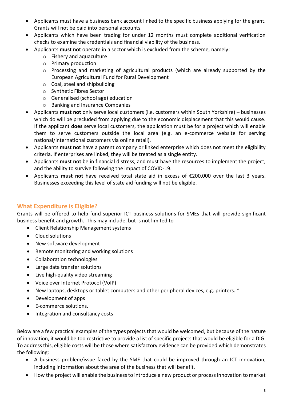- Applicants must have a business bank account linked to the specific business applying for the grant. Grants will not be paid into personal accounts.
- Applicants which have been trading for under 12 months must complete additional verification checks to examine the credentials and financial viability of the business.
- Applicants **must not** operate in a sector which is excluded from the scheme, namely:
	- o Fishery and aquaculture
	- o Primary production
	- o Processing and marketing of agricultural products (which are already supported by the European Agricultural Fund for Rural Development
	- o Coal, steel and shipbuilding
	- o Synthetic Fibres Sector
	- o Generalised (school age) education
	- o Banking and Insurance Companies
- Applicants **must not** only serve local customers (i.e. customers within South Yorkshire) businesses which do will be precluded from applying due to the economic displacement that this would cause. If the applicant **does** serve local customers, the application must be for a project which will enable them to serve customers outside the local area (e.g. an e-commerce website for serving national/international customers via online retail).
- Applicants **must not** have a parent company or linked enterprise which does not meet the eligibility criteria. If enterprises are linked, they will be treated as a single entity.
- Applicants **must not** be in financial distress, and must have the resources to implement the project, and the ability to survive following the impact of COVID-19.
- Applicants **must not** have received total state aid in excess of €200,000 over the last 3 years. Businesses exceeding this level of state aid funding will not be eligible.

# **What Expenditure is Eligible?**

Grants will be offered to help fund superior ICT business solutions for SMEs that will provide significant business benefit and growth. This may include, but is not limited to

- Client Relationship Management systems
- Cloud solutions
- New software development
- Remote monitoring and working solutions
- Collaboration technologies
- Large data transfer solutions
- Live high-quality video streaming
- Voice over Internet Protocol (VoIP)
- New laptops, desktops or tablet computers and other peripheral devices, e.g. printers. \*
- Development of apps
- E-commerce solutions.
- Integration and consultancy costs

Below are a few practical examples of the types projects that would be welcomed, but because of the nature of innovation, it would be too restrictive to provide a list of specific projects that would be eligible for a DIG. To address this, eligible costs will be those where satisfactory evidence can be provided which demonstrates the following:

- A business problem/issue faced by the SME that could be improved through an ICT innovation, including information about the area of the business that will benefit.
- How the project will enable the business to introduce a new product or process innovation to market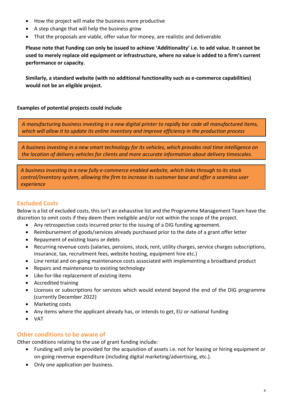- How the project will make the business more productive
- A step change that will help the business grow
- That the proposals are viable, offer value for money, are realistic and deliverable

**Please note that Funding can only be issued to achieve 'Additionality' i.e. to add value. It cannot be used to merely replace old equipment or infrastructure, where no value is added to a firm's current performance or capacity.**

**Similarly, a standard website (with no additional functionality such as e-commerce capabilities) would not be an eligible project.**

#### **Examples of potential projects could include**

*A manufacturing business investing in a new digital printer to rapidly bar code all manufactured items, which will allow it to update its online inventory and improve efficiency in the production process*

*A business investing in a new smart technology for its vehicles, which provides real time intelligence on the location of delivery vehicles for clients and more accurate information about delivery timescales.*

*A business investing in a new fully e-commerce enabled website, which links through to its stock control/inventory system, allowing the firm to increase its customer base and offer a seamless user experience*

# **Excluded Costs**

Below is a list of excluded costs, this isn't an exhaustive list and the Programme Management Team have the discretion to omit costs if they deem them ineligible and/or not within the scope of the project.

- Any retrospective costs incurred prior to the issuing of a DIG funding agreement.
- Reimbursement of goods/services already purchased prior to the date of a grant offer letter
- Repayment of existing loans or debts
- Recurring revenue costs (salaries, pensions, stock, rent, utility charges, service charges subscriptions, insurance, tax, recruitment fees, website hosting, equipment hire etc.)
- Line rental and on-going maintenance costs associated with implementing a broadband product
- Repairs and maintenance to existing technology
- Like-for-like replacement of existing items
- Accredited training
- Licenses or subscriptions for services which would extend beyond the end of the DIG programme (currently December 2022)
- Marketing costs
- Any items where the applicant already has, or intends to get, EU or national funding
- VAT

#### **Other conditions to be aware of**

Other conditions relating to the use of grant funding include:

- Funding will only be provided for the acquisition of assets i.e. not for leasing or hiring equipment or on-going revenue expenditure (including digital marketing/advertising, etc.).
- Only one application per business.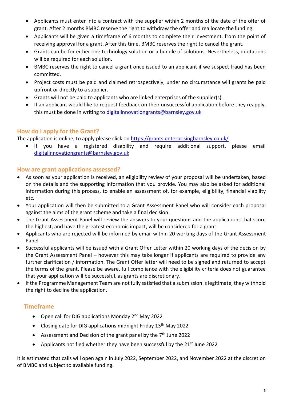- Applicants must enter into a contract with the supplier within 2 months of the date of the offer of grant. After 2 months BMBC reserve the right to withdraw the offer and reallocate the funding.
- Applicants will be given a timeframe of 6 months to complete their investment, from the point of receiving approval for a grant. After this time, BMBC reserves the right to cancel the grant.
- Grants can be for either one technology solution or a bundle of solutions. Nevertheless, quotations will be required for each solution.
- BMBC reserves the right to cancel a grant once issued to an applicant if we suspect fraud has been committed.
- Project costs must be paid and claimed retrospectively, under no circumstance will grants be paid upfront or directly to a supplier.
- Grants will not be paid to applicants who are linked enterprises of the supplier(s).
- If an applicant would like to request feedback on their unsuccessful application before they reapply, this must be done in writing to [digitalinnovationgrants@barnsley.gov.uk](mailto:digitalinnovationgrants@barnsley.gov.uk)

# **How do I apply for the Grant?**

The application is online, to apply please click on<https://grants.enterprisingbarnsley.co.uk/>

• If you have a registered disability and require additional support, please email [digitalinnovationgrants@barnsley.gov.uk](mailto:digitalinnovationgrants@barnsley.gov.uk)

# **How are grant applications assessed?**

- As soon as your application is received, an eligibility review of your proposal will be undertaken, based on the details and the supporting information that you provide. You may also be asked for additional information during this process, to enable an assessment of, for example, eligibility, financial viability etc.
- Your application will then be submitted to a Grant Assessment Panel who will consider each proposal against the aims of the grant scheme and take a final decision.
- The Grant Assessment Panel will review the answers to your questions and the applications that score the highest, and have the greatest economic impact, will be considered for a grant.
- Applicants who are rejected will be informed by email within 20 working days of the Grant Assessment Panel
- Successful applicants will be issued with a Grant Offer Letter within 20 working days of the decision by the Grant Assessment Panel – however this may take longer if applicants are required to provide any further clarification / information. The Grant Offer letter will need to be signed and returned to accept the terms of the grant. Please be aware, full compliance with the eligibility criteria does not guarantee that your application will be successful, as grants are discretionary.
- If the Programme Management Team are not fully satisfied that a submission is legitimate, they withhold the right to decline the application.

# **Timeframe**

- Open call for DIG applications Monday 2<sup>nd</sup> May 2022
- Closing date for DIG applications midnight Friday 13<sup>th</sup> May 2022
- Assessment and Decision of the grant panel by the  $7<sup>th</sup>$  June 2022
- Applicants notified whether they have been successful by the  $21<sup>st</sup>$  June 2022

It is estimated that calls will open again in July 2022, September 2022, and November 2022 at the discretion of BMBC and subject to available funding.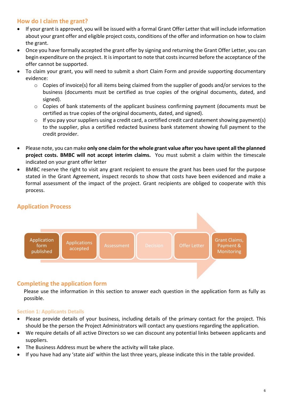# **How do I claim the grant?**

- If your grant is approved, you will be issued with a formal Grant Offer Letter that will include information about your grant offer and eligible project costs, conditions of the offer and information on how to claim the grant.
- Once you have formally accepted the grant offer by signing and returning the Grant Offer Letter, you can begin expenditure on the project. It is important to note that costs incurred before the acceptance of the offer cannot be supported.
- To claim your grant, you will need to submit a short Claim Form and provide supporting documentary evidence:
	- $\circ$  Copies of invoice(s) for all items being claimed from the supplier of goods and/or services to the business (documents must be certified as true copies of the original documents, dated, and signed).
	- o Copies of bank statements of the applicant business confirming payment (documents must be certified as true copies of the original documents, dated, and signed).
	- o If you pay your suppliers using a credit card, a certified credit card statement showing payment(s) to the supplier, plus a certified redacted business bank statement showing full payment to the credit provider.
- Please note, you can make **only one claim for the whole grant value after you have spent all the planned project costs. BMBC will not accept interim claims.** You must submit a claim within the timescale indicated on your grant offer letter
- BMBC reserve the right to visit any grant recipient to ensure the grant has been used for the purpose stated in the Grant Agreement, inspect records to show that costs have been evidenced and make a formal assessment of the impact of the project. Grant recipients are obliged to cooperate with this process.

# **Application Process**



#### **Completing the application form**

Please use the information in this section to answer each question in the application form as fully as possible.

#### **Section 1: Applicants Details**

- Please provide details of your business, including details of the primary contact for the project. This should be the person the Project Administrators will contact any questions regarding the application.
- We require details of all active Directors so we can discount any potential links between applicants and suppliers.
- The Business Address must be where the activity will take place.
- If you have had any 'state aid' within the last three years, please indicate this in the table provided.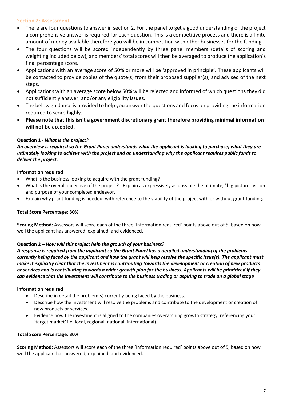#### S**ection 2: Assessment**

- There are four questions to answer in section 2. For the panel to get a good understanding of the project a comprehensive answer is required for each question. This is a competitive process and there is a finite amount of money available therefore you will be in competition with other businesses for the funding.
- The four questions will be scored independently by three panel members (details of scoring and weighting included below), and members' total scores will then be averaged to produce the application's final percentage score.
- Applications with an average score of 50% or more will be 'approved in principle'. These applicants will be contacted to provide copies of the quote(s) from their proposed supplier(s), and advised of the next steps.
- Applications with an average score below 50% will be rejected and informed of which questions they did not sufficiently answer, and/or any eligibility issues.
- The below guidance is provided to help you answer the questions and focus on providing the information required to score highly.
- **Please note that this isn't a government discretionary grant therefore providing minimal information will not be accepted.**

#### **Question 1 -** *What is the project?*

*An overview is required so the Grant Panel understands what the applicant is looking to purchase; what they are ultimately looking to achieve with the project and an understanding why the applicant requires public funds to deliver the project.*

#### **Information required**

- What is the business looking to acquire with the grant funding?
- What is the overall objective of the project? Explain as expressively as possible the ultimate, "big picture" vision and purpose of your completed endeavor.
- Explain why grant funding is needed, with reference to the viability of the project with or without grant funding.

#### **Total Score Percentage: 30%**

**Scoring Method:** Assessors will score each of the three 'Information required' points above out of 5, based on how well the applicant has answered, explained, and evidenced.

#### **Question 2 –** *How will this project help the growth of your business?*

*A response is required from the applicant so the Grant Panel has a detailed understanding of the problems currently being faced by the applicant and how the grant will help resolve the specific issue(s). The applicant must make it explicitly clear that the investment is contributing towards the development or creation of new products or services and is contributing towards a wider growth plan for the business. Applicants will be prioritized if they can evidence that the investment will contribute to the business trading or aspiring to trade on a global stage* 

#### **Information required**

- Describe in detail the problem(s) currently being faced by the business.
- Describe how the investment will resolve the problems and contribute to the development or creation of new products or services.
- Evidence how the investment is aligned to the companies overarching growth strategy, referencing your 'target market' i.e. local, regional, national, international).

#### **Total Score Percentage: 30%**

**Scoring Method:** Assessors will score each of the three 'Information required' points above out of 5, based on how well the applicant has answered, explained, and evidenced.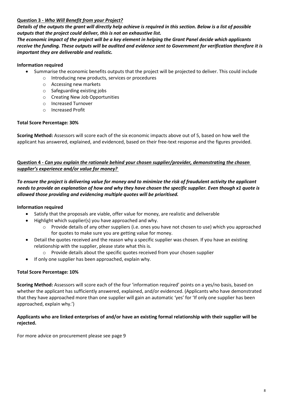#### **Question 3 -** *Who Will Benefit from your Project?*

*Details of the outputs the grant will directly help achieve is required in this section. Below is a list of possible outputs that the project could deliver, this is not an exhaustive list.*

*The economic impact of the project will be a key element in helping the Grant Panel decide which applicants receive the funding. These outputs will be audited and evidence sent to Government for verification therefore it is important they are deliverable and realistic.* 

#### **Information required**

- Summarise the economic benefits outputs that the project will be projected to deliver. This could include
	- o Introducing new products, services or procedures
	- o Accessing new markets
	- o Safeguarding existing jobs
	- o Creating New Job Opportunities
	- o Increased Turnover
	- o Increased Profit

#### **Total Score Percentage: 30%**

**Scoring Method:** Assessors will score each of the six economic impacts above out of 5, based on how well the applicant has answered, explained, and evidenced, based on their free-text response and the figures provided.

#### **Question 4 -** *Can you explain the rationale behind your chosen supplier/provider, demonstrating the chosen supplier's experience and/or value for money?*

*To ensure the project is delivering value for money and to minimize the risk of fraudulent activity the applicant needs to provide an explanation of how and why they have chosen the specific supplier. Even though x1 quote is allowed those providing and evidencing multiple quotes will be prioritised.*

#### **Information required**

- Satisfy that the proposals are viable, offer value for money, are realistic and deliverable
- Highlight which supplier(s) you have approached and why.
	- $\circ$  Provide details of any other suppliers (i.e. ones you have not chosen to use) which you approached for quotes to make sure you are getting value for money.
- Detail the quotes received and the reason why a specific supplier was chosen. If you have an existing relationship with the supplier, please state what this is.
	- $\circ$  Provide details about the specific quotes received from your chosen supplier
- If only one supplier has been approached, explain why.

#### **Total Score Percentage: 10%**

**Scoring Method:** Assessors will score each of the four 'information required' points on a yes/no basis, based on whether the applicant has sufficiently answered, explained, and/or evidenced. (Applicants who have demonstrated that they have approached more than one supplier will gain an automatic 'yes' for 'If only one supplier has been approached, explain why.')

#### **Applicants who are linked enterprises of and/or have an existing formal relationship with their supplier will be rejected.**

For more advice on procurement please see page 9